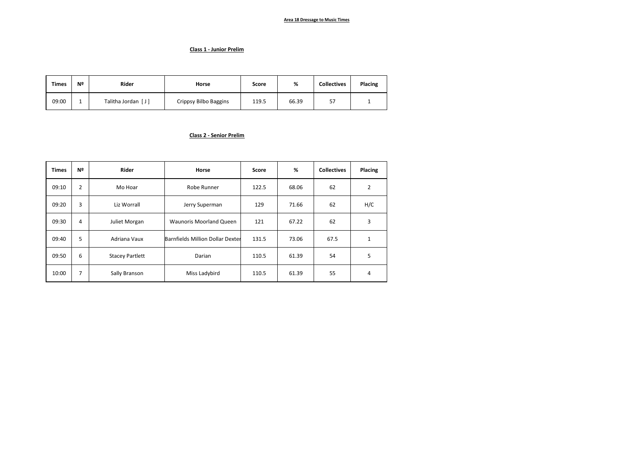### **Area 18 Dressage to Music Times**

### **Class 1 - Junior Prelim**

| <b>Times</b> | Nº | <b>Rider</b>       | Horse                 | Score | %     | <b>Collectives</b> | Placing |
|--------------|----|--------------------|-----------------------|-------|-------|--------------------|---------|
| 09:00        |    | Talitha Jordan [J] | Crippsy Bilbo Baggins | 119.5 | 66.39 | 57                 |         |

### **Class 2 - Senior Prelim**

| <b>Times</b> | Nº | Rider                  | Horse                            | Score | %     | <b>Collectives</b> | Placing        |
|--------------|----|------------------------|----------------------------------|-------|-------|--------------------|----------------|
| 09:10        | 2  | Mo Hoar                | Robe Runner                      | 122.5 | 68.06 | 62                 | $\overline{2}$ |
| 09:20        | 3  | Liz Worrall            | Jerry Superman                   | 129   | 71.66 | 62                 | H/C            |
| 09:30        | 4  | Juliet Morgan          | <b>Waunoris Moorland Queen</b>   | 121   | 67.22 | 62                 | 3              |
| 09:40        | 5  | Adriana Vaux           | Barnfields Million Dollar Dexter | 131.5 | 73.06 | 67.5               | 1              |
| 09:50        | 6  | <b>Stacey Partlett</b> | Darian                           | 110.5 | 61.39 | 54                 | 5              |
| 10:00        | 7  | Sally Branson          | Miss Ladybird                    | 110.5 | 61.39 | 55                 | 4              |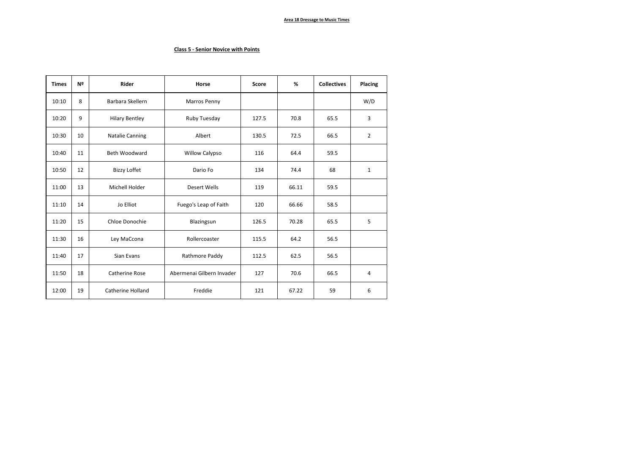# **Class 5 - Senior Novice with Points**

| <b>Times</b> | Nº | <b>Rider</b>           | Horse                     | <b>Score</b> | %     | <b>Collectives</b> | Placing        |
|--------------|----|------------------------|---------------------------|--------------|-------|--------------------|----------------|
| 10:10        | 8  | Barbara Skellern       | Marros Penny              |              |       |                    | W/D            |
| 10:20        | 9  | <b>Hilary Bentley</b>  | Ruby Tuesday              | 127.5        | 70.8  | 65.5               | 3              |
| 10:30        | 10 | <b>Natalie Canning</b> | Albert                    | 130.5        | 72.5  | 66.5               | $\overline{2}$ |
| 10:40        | 11 | <b>Beth Woodward</b>   | <b>Willow Calypso</b>     | 116          | 64.4  | 59.5               |                |
| 10:50        | 12 | <b>Bizzy Loffet</b>    | Dario Fo                  | 134          | 74.4  | 68                 | $\mathbf{1}$   |
| 11:00        | 13 | Michell Holder         | Desert Wells              | 119          | 66.11 | 59.5               |                |
| 11:10        | 14 | Jo Elliot              | Fuego's Leap of Faith     | 120          | 66.66 | 58.5               |                |
| 11:20        | 15 | Chloe Donochie         | Blazingsun                | 126.5        | 70.28 | 65.5               | 5              |
| 11:30        | 16 | Ley MaCcona            | Rollercoaster             | 115.5        | 64.2  | 56.5               |                |
| 11:40        | 17 | Sian Evans             | Rathmore Paddy            | 112.5        | 62.5  | 56.5               |                |
| 11:50        | 18 | Catherine Rose         | Abermenai Gilbern Invader | 127          | 70.6  | 66.5               | 4              |
| 12:00        | 19 | Catherine Holland      | Freddie                   | 121          | 67.22 | 59                 | 6              |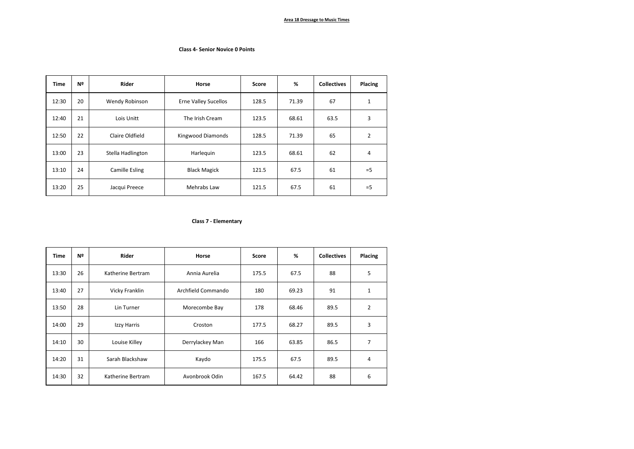### **Class 4- Senior Novice 0 Points**

| <b>Time</b> | Nº | Rider             | Horse                       | Score | %     | <b>Collectives</b> | Placing        |
|-------------|----|-------------------|-----------------------------|-------|-------|--------------------|----------------|
| 12:30       | 20 | Wendy Robinson    | <b>Erne Valley Sucellos</b> | 128.5 | 71.39 | 67                 | 1              |
| 12:40       | 21 | Lois Unitt        | The Irish Cream             | 123.5 | 68.61 | 63.5               | 3              |
| 12:50       | 22 | Claire Oldfield   | Kingwood Diamonds           | 128.5 | 71.39 | 65                 | $\overline{2}$ |
| 13:00       | 23 | Stella Hadlington | Harlequin                   | 123.5 | 68.61 | 62                 | 4              |
| 13:10       | 24 | Camille Esling    | <b>Black Magick</b>         | 121.5 | 67.5  | 61                 | $=$ 5          |
| 13:20       | 25 | Jacqui Preece     | Mehrabs Law                 | 121.5 | 67.5  | 61                 | $=$ 5          |

## **Class 7 - Elementary**

| <b>Time</b> | Nº | Rider             | Horse              | Score | %     | <b>Collectives</b> | Placing        |
|-------------|----|-------------------|--------------------|-------|-------|--------------------|----------------|
| 13:30       | 26 | Katherine Bertram | Annia Aurelia      | 175.5 | 67.5  | 88                 | 5              |
| 13:40       | 27 | Vicky Franklin    | Archfield Commando | 180   | 69.23 | 91                 | $\mathbf 1$    |
| 13:50       | 28 | Lin Turner        | Morecombe Bay      | 178   | 68.46 | 89.5               | $\overline{2}$ |
| 14:00       | 29 | Izzy Harris       | Croston            | 177.5 | 68.27 | 89.5               | 3              |
| 14:10       | 30 | Louise Killey     | Derrylackey Man    | 166   | 63.85 | 86.5               | 7              |
| 14:20       | 31 | Sarah Blackshaw   | Kaydo              | 175.5 | 67.5  | 89.5               | $\overline{a}$ |
| 14:30       | 32 | Katherine Bertram | Avonbrook Odin     | 167.5 | 64.42 | 88                 | 6              |